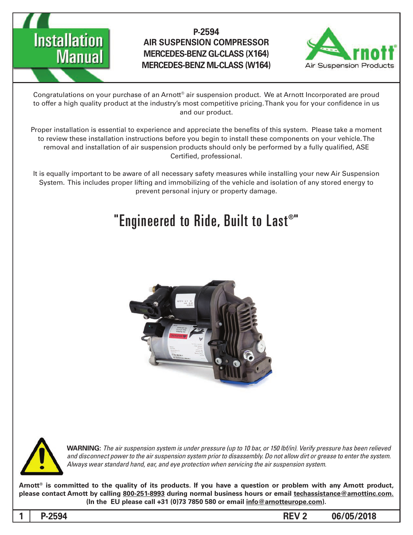

## **P-2594 AIR SUSPENSION COMPRESSOR MERCEDES-BENZ GL-CLASS (X164) MERCEDES-BENZ ML-CLASS (W164)**



Congratulations on your purchase of an Arnott® air suspension product. We at Arnott Incorporated are proud to offer a high quality product at the industry's most competitive pricing. Thank you for your confidence in us and our product.

Proper installation is essential to experience and appreciate the benefits of this system. Please take a moment to review these installation instructions before you begin to install these components on your vehicle. The removal and installation of air suspension products should only be performed by a fully qualified, ASE Certified, professional.

It is equally important to be aware of all necessary safety measures while installing your new Air Suspension System. This includes proper lifting and immobilizing of the vehicle and isolation of any stored energy to prevent personal injury or property damage.

# "Engineered to Ride, Built to Last $^{\circ}$ "





*WARNING: The air suspension system is under pressure (up to 10 bar, or 150 lbf/in). Verify pressure has been relieved* and disconnect power to the air suspension system prior to disassembly. Do not allow dirt or grease to enter the system. Always wear standard hand, ear, and eye protection when servicing the air suspension system.

Arnott<sup>®</sup> is committed to the quality of its products. If you have a question or problem with any Arnott product, please contact Arnott by calling 800-251-8993 during normal business hours or email techassistance@arnottinc.com.  $(ln the EU please call +31 (0)73 7850 580 or email  $\frac{info@arnotteurope.com}{p}$ .$ 

1 P-2594 **2 REV 2 06/05/2018**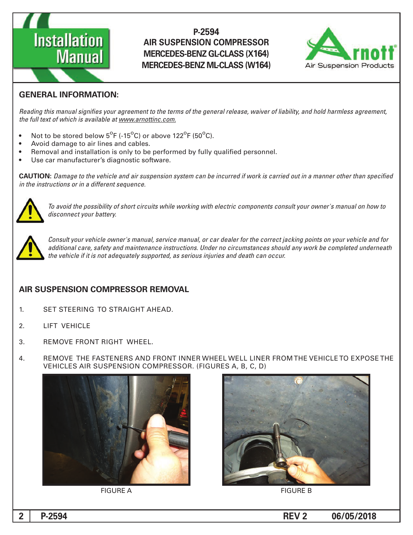

### **P-2594 AIR SUSPENSION COMPRESSOR MERCEDES-BENZ GL-CLASS (X164) MERCEDES-BENZ ML-CLASS (W164)**



#### **GENERAL INFORMATION:**

Reading this manual signifies your agreement to the terms of the general release, waiver of liability, and hold harmless agreement, the full text of which is available at www.arnottinc.com.

- Not to be stored below  $5^{\circ}$ F (-15 $^{\circ}$ C) or above 122 $^{\circ}$ F (50 $^{\circ}$ C).
- Avoid damage to air lines and cables.
- Removal and installation is only to be performed by fully qualified personnel.
- Use car manufacturer's diagnostic software.

**CAUTION:** Damage to the vehicle and air suspension system can be incurred if work is carried out in a manner other than specified *in the instructions or in a different sequence.* 



 *to how on manual s'owner your consult components electric with working while circuits short of possibility the avoid To* disconnect your battery.



Consult your vehicle owner's manual, service manual, or car dealer for the correct jacking points on your vehicle and for additional care, safety and maintenance instructions. Under no circumstances should any work be completed underneath the vehicle if it is not adequately supported, as serious injuries and death can occur.

#### **AIR SUSPENSION COMPRESSOR REMOVAL**

- 1. SET STEERING TO STRAIGHT AHEAD.
- 2. LIFT VEHICLE
- 3. REMOVE FRONT RIGHT WHEEL.
- 4. BEMOVE THE FASTENERS AND FRONT INNER WHEEL WELL LINER FROM THE VEHICLE TO EXPOSE THE VEHICLES AIR SUSPENSION COMPRESSOR. (FIGURES A, B, C, D)





FIGURE A FIGURE A

**1 P**-2594 **CONSERVITY 2 2 PDF 2594 CONSERVITY 2 2 PDF 2594**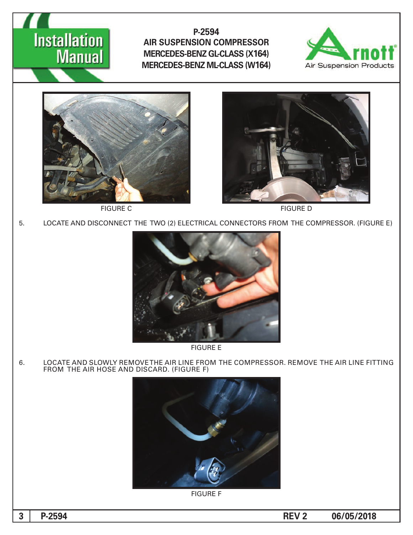# **Installation**<br>**Manual**

**P-2594 AIR SUSPENSION COMPRESSOR MERCEDES-BENZ GL-CLASS (X164) MERCEDES-BENZ ML-CLASS (W164)** 







5. LOCATE AND DISCONNECT THE TWO (2) ELECTRICAL CONNECTORS FROM THE COMPRESSOR. (FIGURE E)



**FIGURE E** 

6. LOCATE AND SLOWLY REMOVE THE AIR LINE FROM THE COMPRESSOR. REMOVE THE AIR LINE FITTING FROM THE AIR HOSE AND DISCARD. (FIGURE F)



**FIGURE F**